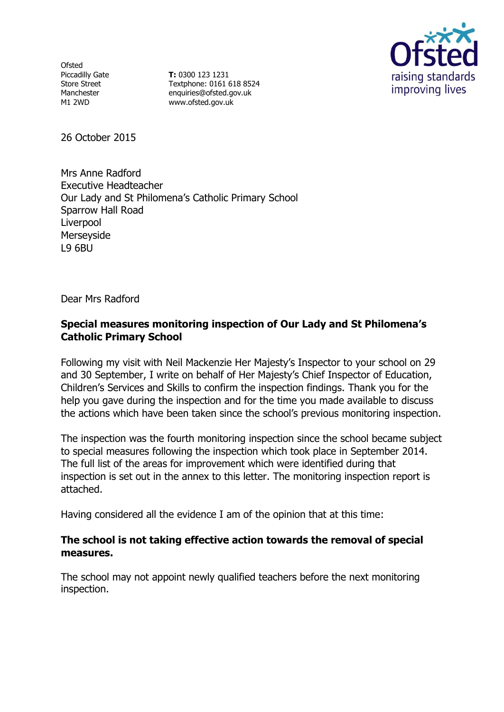**Ofsted** Piccadilly Gate Store Street Manchester M1 2WD

**T:** 0300 123 1231 Textphone: 0161 618 8524 enquiries@ofsted.gov.uk www.ofsted.gov.uk



26 October 2015

Mrs Anne Radford Executive Headteacher Our Lady and St Philomena's Catholic Primary School Sparrow Hall Road Liverpool Merseyside L9 6BU

Dear Mrs Radford

# **Special measures monitoring inspection of Our Lady and St Philomena's Catholic Primary School**

Following my visit with Neil Mackenzie Her Majesty's Inspector to your school on 29 and 30 September, I write on behalf of Her Majesty's Chief Inspector of Education, Children's Services and Skills to confirm the inspection findings. Thank you for the help you gave during the inspection and for the time you made available to discuss the actions which have been taken since the school's previous monitoring inspection.

The inspection was the fourth monitoring inspection since the school became subject to special measures following the inspection which took place in September 2014. The full list of the areas for improvement which were identified during that inspection is set out in the annex to this letter. The monitoring inspection report is attached.

Having considered all the evidence I am of the opinion that at this time:

# **The school is not taking effective action towards the removal of special measures.**

The school may not appoint newly qualified teachers before the next monitoring inspection.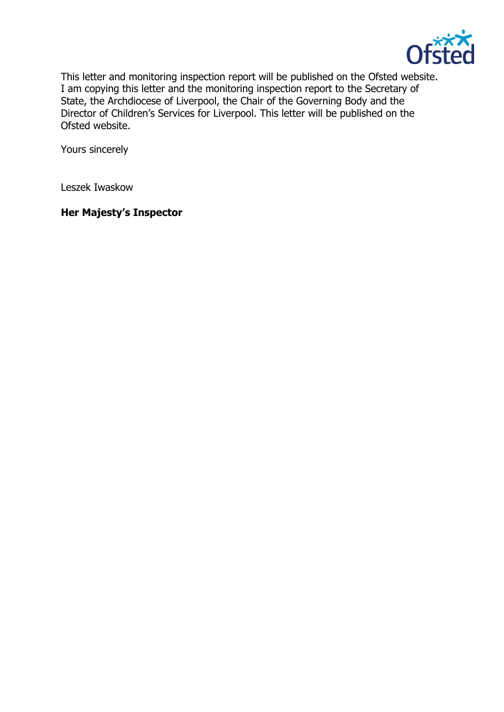

This letter and monitoring inspection report will be published on the Ofsted website. I am copying this letter and the monitoring inspection report to the Secretary of State, the Archdiocese of Liverpool, the Chair of the Governing Body and the Director of Children's Services for Liverpool. This letter will be published on the Ofsted website.

Yours sincerely

Leszek Iwaskow

# **Her Majesty's Inspector**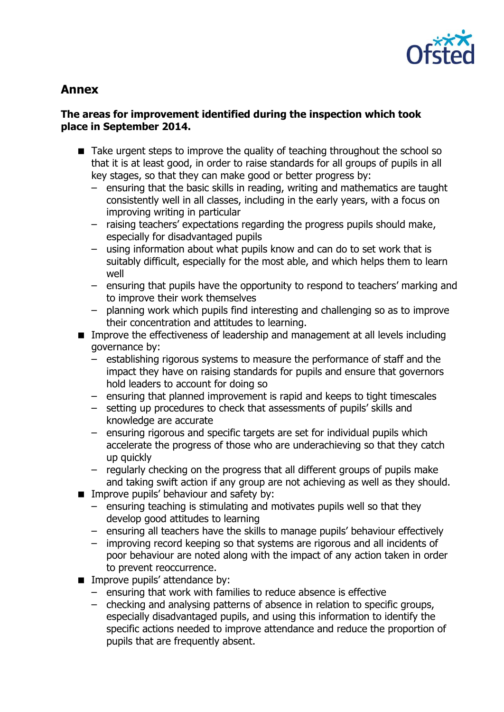

# **Annex**

## **The areas for improvement identified during the inspection which took place in September 2014.**

- Take urgent steps to improve the quality of teaching throughout the school so that it is at least good, in order to raise standards for all groups of pupils in all key stages, so that they can make good or better progress by:
	- ensuring that the basic skills in reading, writing and mathematics are taught consistently well in all classes, including in the early years, with a focus on improving writing in particular
	- raising teachers' expectations regarding the progress pupils should make, especially for disadvantaged pupils
	- using information about what pupils know and can do to set work that is suitably difficult, especially for the most able, and which helps them to learn well
	- ensuring that pupils have the opportunity to respond to teachers' marking and to improve their work themselves
	- planning work which pupils find interesting and challenging so as to improve their concentration and attitudes to learning.
- **IMPROVE THE EFFECT INCOCES OF LEADER SHOW AND META LANGE INCLUSIVE INCLUDING** governance by:
	- establishing rigorous systems to measure the performance of staff and the impact they have on raising standards for pupils and ensure that governors hold leaders to account for doing so
	- ensuring that planned improvement is rapid and keeps to tight timescales
	- setting up procedures to check that assessments of pupils' skills and knowledge are accurate
	- ensuring rigorous and specific targets are set for individual pupils which accelerate the progress of those who are underachieving so that they catch up quickly
	- regularly checking on the progress that all different groups of pupils make and taking swift action if any group are not achieving as well as they should.
- **IMPROVE pupils' behaviour and safety by:** 
	- ensuring teaching is stimulating and motivates pupils well so that they develop good attitudes to learning
	- ensuring all teachers have the skills to manage pupils' behaviour effectively
	- improving record keeping so that systems are rigorous and all incidents of poor behaviour are noted along with the impact of any action taken in order to prevent reoccurrence.
- **IMPROVE pupils' attendance by:** 
	- ensuring that work with families to reduce absence is effective
	- checking and analysing patterns of absence in relation to specific groups, especially disadvantaged pupils, and using this information to identify the specific actions needed to improve attendance and reduce the proportion of pupils that are frequently absent.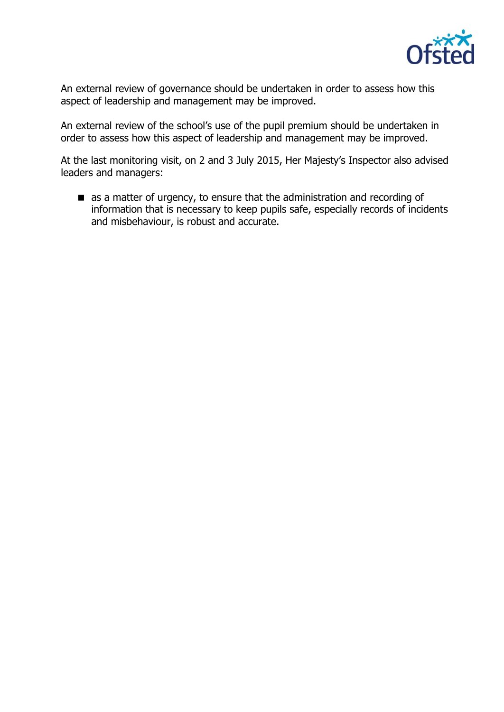

An external review of governance should be undertaken in order to assess how this aspect of leadership and management may be improved.

An external review of the school's use of the pupil premium should be undertaken in order to assess how this aspect of leadership and management may be improved.

At the last monitoring visit, on 2 and 3 July 2015, Her Majesty's Inspector also advised leaders and managers:

as a matter of urgency, to ensure that the administration and recording of information that is necessary to keep pupils safe, especially records of incidents and misbehaviour, is robust and accurate.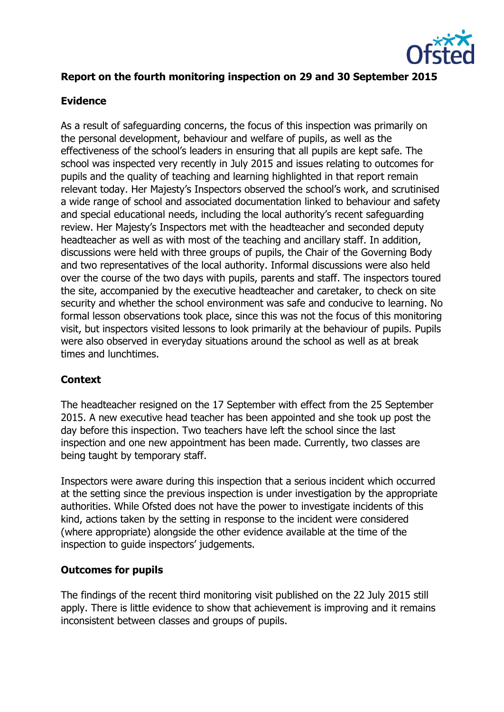

# **Report on the fourth monitoring inspection on 29 and 30 September 2015**

#### **Evidence**

As a result of safeguarding concerns, the focus of this inspection was primarily on the personal development, behaviour and welfare of pupils, as well as the effectiveness of the school's leaders in ensuring that all pupils are kept safe. The school was inspected very recently in July 2015 and issues relating to outcomes for pupils and the quality of teaching and learning highlighted in that report remain relevant today. Her Majesty's Inspectors observed the school's work, and scrutinised a wide range of school and associated documentation linked to behaviour and safety and special educational needs, including the local authority's recent safeguarding review. Her Majesty's Inspectors met with the headteacher and seconded deputy headteacher as well as with most of the teaching and ancillary staff. In addition, discussions were held with three groups of pupils, the Chair of the Governing Body and two representatives of the local authority. Informal discussions were also held over the course of the two days with pupils, parents and staff. The inspectors toured the site, accompanied by the executive headteacher and caretaker, to check on site security and whether the school environment was safe and conducive to learning. No formal lesson observations took place, since this was not the focus of this monitoring visit, but inspectors visited lessons to look primarily at the behaviour of pupils. Pupils were also observed in everyday situations around the school as well as at break times and lunchtimes.

## **Context**

The headteacher resigned on the 17 September with effect from the 25 September 2015. A new executive head teacher has been appointed and she took up post the day before this inspection. Two teachers have left the school since the last inspection and one new appointment has been made. Currently, two classes are being taught by temporary staff.

Inspectors were aware during this inspection that a serious incident which occurred at the setting since the previous inspection is under investigation by the appropriate authorities. While Ofsted does not have the power to investigate incidents of this kind, actions taken by the setting in response to the incident were considered (where appropriate) alongside the other evidence available at the time of the inspection to guide inspectors' judgements.

#### **Outcomes for pupils**

The findings of the recent third monitoring visit published on the 22 July 2015 still apply. There is little evidence to show that achievement is improving and it remains inconsistent between classes and groups of pupils.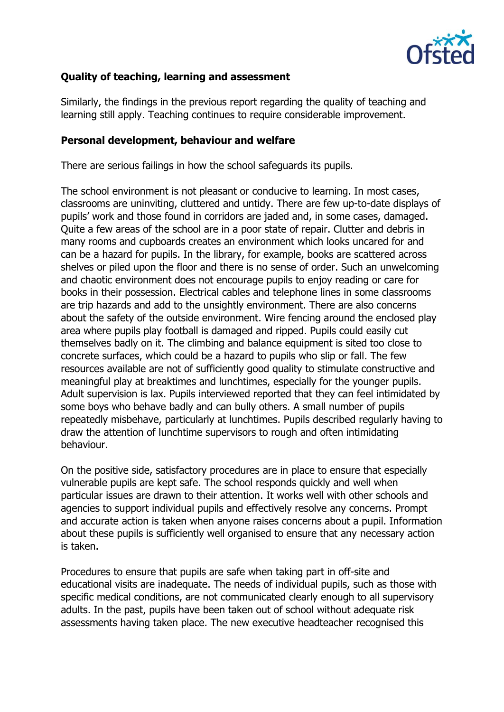

# **Quality of teaching, learning and assessment**

Similarly, the findings in the previous report regarding the quality of teaching and learning still apply. Teaching continues to require considerable improvement.

#### **Personal development, behaviour and welfare**

There are serious failings in how the school safeguards its pupils.

The school environment is not pleasant or conducive to learning. In most cases, classrooms are uninviting, cluttered and untidy. There are few up-to-date displays of pupils' work and those found in corridors are jaded and, in some cases, damaged. Quite a few areas of the school are in a poor state of repair. Clutter and debris in many rooms and cupboards creates an environment which looks uncared for and can be a hazard for pupils. In the library, for example, books are scattered across shelves or piled upon the floor and there is no sense of order. Such an unwelcoming and chaotic environment does not encourage pupils to enjoy reading or care for books in their possession. Electrical cables and telephone lines in some classrooms are trip hazards and add to the unsightly environment. There are also concerns about the safety of the outside environment. Wire fencing around the enclosed play area where pupils play football is damaged and ripped. Pupils could easily cut themselves badly on it. The climbing and balance equipment is sited too close to concrete surfaces, which could be a hazard to pupils who slip or fall. The few resources available are not of sufficiently good quality to stimulate constructive and meaningful play at breaktimes and lunchtimes, especially for the younger pupils. Adult supervision is lax. Pupils interviewed reported that they can feel intimidated by some boys who behave badly and can bully others. A small number of pupils repeatedly misbehave, particularly at lunchtimes. Pupils described regularly having to draw the attention of lunchtime supervisors to rough and often intimidating behaviour.

On the positive side, satisfactory procedures are in place to ensure that especially vulnerable pupils are kept safe. The school responds quickly and well when particular issues are drawn to their attention. It works well with other schools and agencies to support individual pupils and effectively resolve any concerns. Prompt and accurate action is taken when anyone raises concerns about a pupil. Information about these pupils is sufficiently well organised to ensure that any necessary action is taken.

Procedures to ensure that pupils are safe when taking part in off-site and educational visits are inadequate. The needs of individual pupils, such as those with specific medical conditions, are not communicated clearly enough to all supervisory adults. In the past, pupils have been taken out of school without adequate risk assessments having taken place. The new executive headteacher recognised this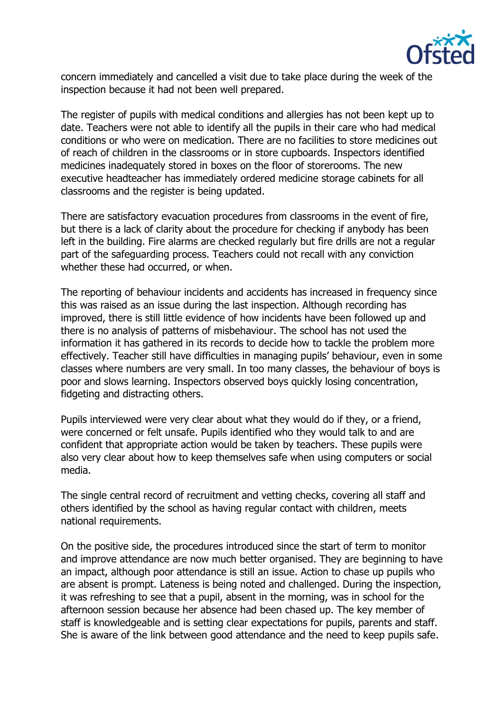

concern immediately and cancelled a visit due to take place during the week of the inspection because it had not been well prepared.

The register of pupils with medical conditions and allergies has not been kept up to date. Teachers were not able to identify all the pupils in their care who had medical conditions or who were on medication. There are no facilities to store medicines out of reach of children in the classrooms or in store cupboards. Inspectors identified medicines inadequately stored in boxes on the floor of storerooms. The new executive headteacher has immediately ordered medicine storage cabinets for all classrooms and the register is being updated.

There are satisfactory evacuation procedures from classrooms in the event of fire, but there is a lack of clarity about the procedure for checking if anybody has been left in the building. Fire alarms are checked regularly but fire drills are not a regular part of the safeguarding process. Teachers could not recall with any conviction whether these had occurred, or when.

The reporting of behaviour incidents and accidents has increased in frequency since this was raised as an issue during the last inspection. Although recording has improved, there is still little evidence of how incidents have been followed up and there is no analysis of patterns of misbehaviour. The school has not used the information it has gathered in its records to decide how to tackle the problem more effectively. Teacher still have difficulties in managing pupils' behaviour, even in some classes where numbers are very small. In too many classes, the behaviour of boys is poor and slows learning. Inspectors observed boys quickly losing concentration, fidgeting and distracting others.

Pupils interviewed were very clear about what they would do if they, or a friend, were concerned or felt unsafe. Pupils identified who they would talk to and are confident that appropriate action would be taken by teachers. These pupils were also very clear about how to keep themselves safe when using computers or social media.

The single central record of recruitment and vetting checks, covering all staff and others identified by the school as having regular contact with children, meets national requirements.

On the positive side, the procedures introduced since the start of term to monitor and improve attendance are now much better organised. They are beginning to have an impact, although poor attendance is still an issue. Action to chase up pupils who are absent is prompt. Lateness is being noted and challenged. During the inspection, it was refreshing to see that a pupil, absent in the morning, was in school for the afternoon session because her absence had been chased up. The key member of staff is knowledgeable and is setting clear expectations for pupils, parents and staff. She is aware of the link between good attendance and the need to keep pupils safe.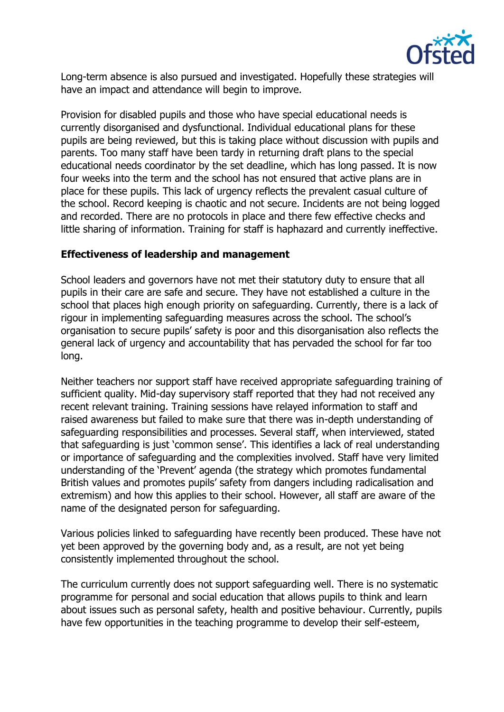

Long-term absence is also pursued and investigated. Hopefully these strategies will have an impact and attendance will begin to improve.

Provision for disabled pupils and those who have special educational needs is currently disorganised and dysfunctional. Individual educational plans for these pupils are being reviewed, but this is taking place without discussion with pupils and parents. Too many staff have been tardy in returning draft plans to the special educational needs coordinator by the set deadline, which has long passed. It is now four weeks into the term and the school has not ensured that active plans are in place for these pupils. This lack of urgency reflects the prevalent casual culture of the school. Record keeping is chaotic and not secure. Incidents are not being logged and recorded. There are no protocols in place and there few effective checks and little sharing of information. Training for staff is haphazard and currently ineffective.

#### **Effectiveness of leadership and management**

School leaders and governors have not met their statutory duty to ensure that all pupils in their care are safe and secure. They have not established a culture in the school that places high enough priority on safeguarding. Currently, there is a lack of rigour in implementing safeguarding measures across the school. The school's organisation to secure pupils' safety is poor and this disorganisation also reflects the general lack of urgency and accountability that has pervaded the school for far too long.

Neither teachers nor support staff have received appropriate safeguarding training of sufficient quality. Mid-day supervisory staff reported that they had not received any recent relevant training. Training sessions have relayed information to staff and raised awareness but failed to make sure that there was in-depth understanding of safeguarding responsibilities and processes. Several staff, when interviewed, stated that safeguarding is just 'common sense'. This identifies a lack of real understanding or importance of safeguarding and the complexities involved. Staff have very limited understanding of the 'Prevent' agenda (the strategy which promotes fundamental British values and promotes pupils' safety from dangers including radicalisation and extremism) and how this applies to their school. However, all staff are aware of the name of the designated person for safeguarding.

Various policies linked to safeguarding have recently been produced. These have not yet been approved by the governing body and, as a result, are not yet being consistently implemented throughout the school.

The curriculum currently does not support safeguarding well. There is no systematic programme for personal and social education that allows pupils to think and learn about issues such as personal safety, health and positive behaviour. Currently, pupils have few opportunities in the teaching programme to develop their self-esteem,